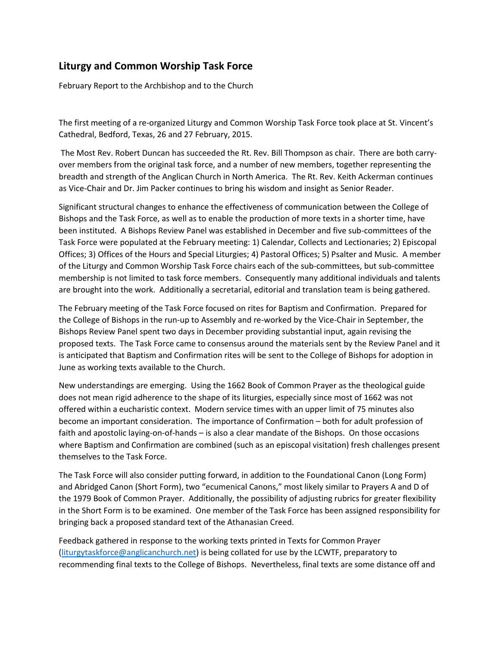## **Liturgy and Common Worship Task Force**

February Report to the Archbishop and to the Church

The first meeting of a re-organized Liturgy and Common Worship Task Force took place at St. Vincent's Cathedral, Bedford, Texas, 26 and 27 February, 2015.

The Most Rev. Robert Duncan has succeeded the Rt. Rev. Bill Thompson as chair. There are both carryover members from the original task force, and a number of new members, together representing the breadth and strength of the Anglican Church in North America. The Rt. Rev. Keith Ackerman continues as Vice-Chair and Dr. Jim Packer continues to bring his wisdom and insight as Senior Reader.

Significant structural changes to enhance the effectiveness of communication between the College of Bishops and the Task Force, as well as to enable the production of more texts in a shorter time, have been instituted. A Bishops Review Panel was established in December and five sub-committees of the Task Force were populated at the February meeting: 1) Calendar, Collects and Lectionaries; 2) Episcopal Offices; 3) Offices of the Hours and Special Liturgies; 4) Pastoral Offices; 5) Psalter and Music. A member of the Liturgy and Common Worship Task Force chairs each of the sub-committees, but sub-committee membership is not limited to task force members. Consequently many additional individuals and talents are brought into the work. Additionally a secretarial, editorial and translation team is being gathered.

The February meeting of the Task Force focused on rites for Baptism and Confirmation. Prepared for the College of Bishops in the run-up to Assembly and re-worked by the Vice-Chair in September, the Bishops Review Panel spent two days in December providing substantial input, again revising the proposed texts. The Task Force came to consensus around the materials sent by the Review Panel and it is anticipated that Baptism and Confirmation rites will be sent to the College of Bishops for adoption in June as working texts available to the Church.

New understandings are emerging. Using the 1662 Book of Common Prayer as the theological guide does not mean rigid adherence to the shape of its liturgies, especially since most of 1662 was not offered within a eucharistic context. Modern service times with an upper limit of 75 minutes also become an important consideration. The importance of Confirmation – both for adult profession of faith and apostolic laying-on-of-hands – is also a clear mandate of the Bishops. On those occasions where Baptism and Confirmation are combined (such as an episcopal visitation) fresh challenges present themselves to the Task Force.

The Task Force will also consider putting forward, in addition to the Foundational Canon (Long Form) and Abridged Canon (Short Form), two "ecumenical Canons," most likely similar to Prayers A and D of the 1979 Book of Common Prayer. Additionally, the possibility of adjusting rubrics for greater flexibility in the Short Form is to be examined. One member of the Task Force has been assigned responsibility for bringing back a proposed standard text of the Athanasian Creed.

Feedback gathered in response to the working texts printed in Texts for Common Prayer [\(liturgytaskforce@anglicanchurch.net\)](mailto:liturgytaskforce@anglicanchurch.net) is being collated for use by the LCWTF, preparatory to recommending final texts to the College of Bishops. Nevertheless, final texts are some distance off and